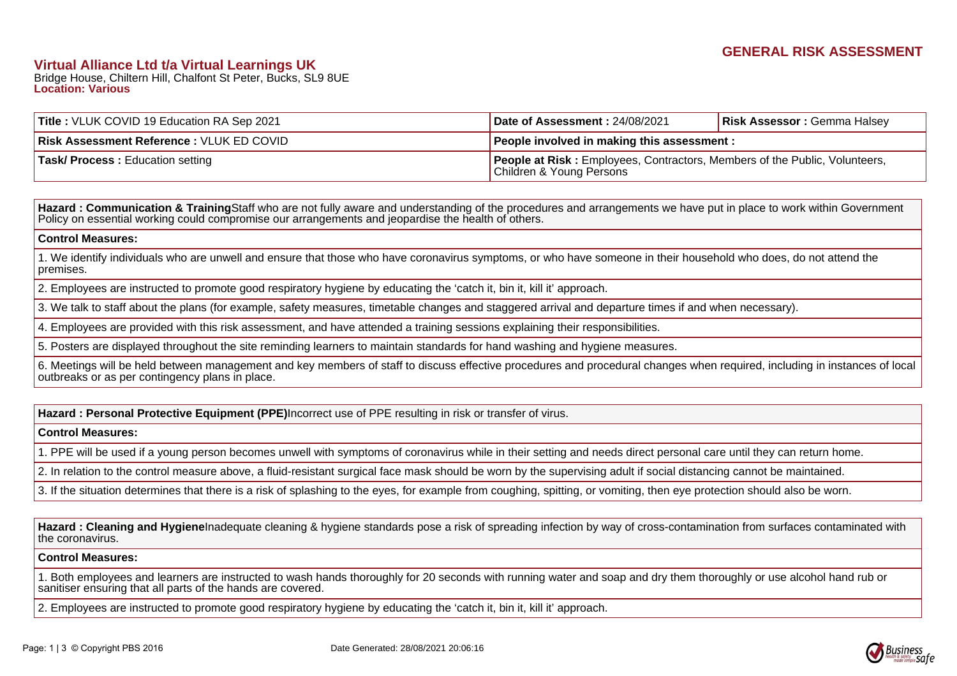# **Virtual Alliance Ltd t/a Virtual Learnings UK**

Bridge House, Chiltern Hill, Chalfont St Peter, Bucks, SL9 8UE **Location: Various**

| <b>Title: VLUK COVID 19 Education RA Sep 2021</b> | Date of Assessment: 24/08/2021                                                                                | <b>Risk Assessor: Gemma Halsey</b> |
|---------------------------------------------------|---------------------------------------------------------------------------------------------------------------|------------------------------------|
| <b>Risk Assessment Reference: VLUK ED COVID</b>   | People involved in making this assessment :                                                                   |                                    |
| <b>Task/ Process: Education setting</b>           | <b>People at Risk:</b> Employees, Contractors, Members of the Public, Volunteers,<br>Children & Young Persons |                                    |

Hazard : Communication & Training Staff who are not fully aware and understanding of the procedures and arrangements we have put in place to work within Government Policy on essential working could compromise our arrangements and jeopardise the health of others.

#### **Control Measures:**

1. We identify individuals who are unwell and ensure that those who have coronavirus symptoms, or who have someone in their household who does, do not attend the premises.

2. Employees are instructed to promote good respiratory hygiene by educating the 'catch it, bin it, kill it' approach.

3. We talk to staff about the plans (for example, safety measures, timetable changes and staggered arrival and departure times if and when necessary).

4. Employees are provided with this risk assessment, and have attended a training sessions explaining their responsibilities.

5. Posters are displayed throughout the site reminding learners to maintain standards for hand washing and hygiene measures.

6. Meetings will be held between management and key members of staff to discuss effective procedures and procedural changes when required, including in instances of local outbreaks or as per contingency plans in place.

**Hazard : Personal Protective Equipment (PPE)**Incorrect use of PPE resulting in risk or transfer of virus.

### **Control Measures:**

1. PPE will be used if a young person becomes unwell with symptoms of coronavirus while in their setting and needs direct personal care until they can return home.

2. In relation to the control measure above, a fluid-resistant surgical face mask should be worn by the supervising adult if social distancing cannot be maintained.

3. If the situation determines that there is a risk of splashing to the eyes, for example from coughing, spitting, or vomiting, then eye protection should also be worn.

Hazard : Cleaning and Hygiene Inadequate cleaning & hygiene standards pose a risk of spreading infection by way of cross-contamination from surfaces contaminated with the coronavirus.

### **Control Measures:**

1. Both employees and learners are instructed to wash hands thoroughly for 20 seconds with running water and soap and dry them thoroughly or use alcohol hand rub or sanitiser ensuring that all parts of the hands are covered.

2. Employees are instructed to promote good respiratory hygiene by educating the 'catch it, bin it, kill it' approach.

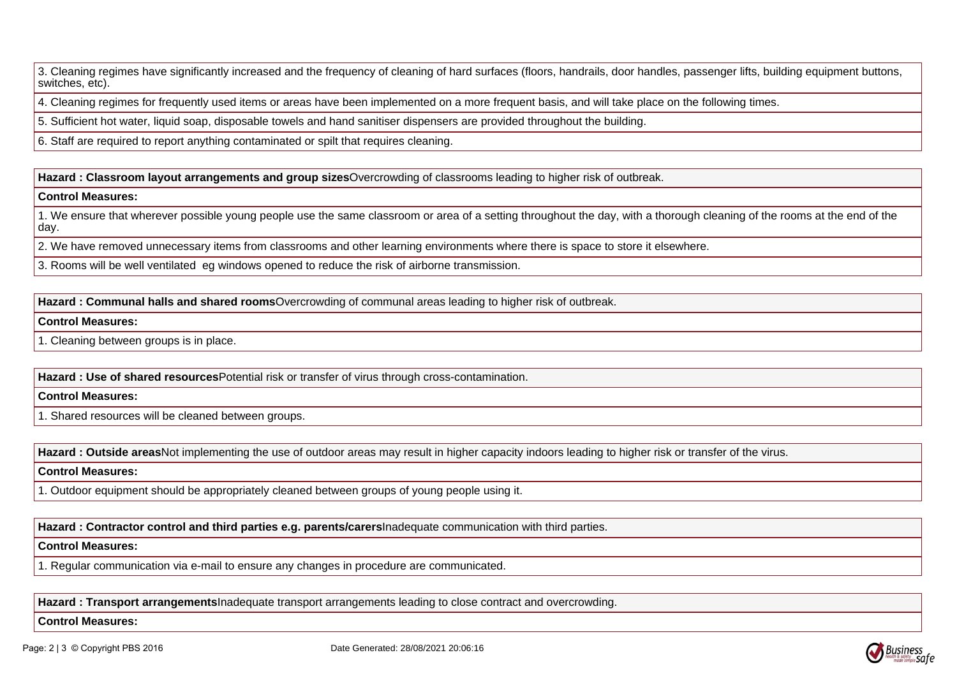3. Cleaning regimes have significantly increased and the frequency of cleaning of hard surfaces (floors, handrails, door handles, passenger lifts, building equipment buttons, switches, etc).

4. Cleaning regimes for frequently used items or areas have been implemented on a more frequent basis, and will take place on the following times.

5. Sufficient hot water, liquid soap, disposable towels and hand sanitiser dispensers are provided throughout the building.

6. Staff are required to report anything contaminated or spilt that requires cleaning.

Hazard : Classroom layout arrangements and group sizes Overcrowding of classrooms leading to higher risk of outbreak.

### **Control Measures:**

1. We ensure that wherever possible young people use the same classroom or area of a setting throughout the day, with a thorough cleaning of the rooms at the end of the day.

2. We have removed unnecessary items from classrooms and other learning environments where there is space to store it elsewhere.

3. Rooms will be well ventilated eg windows opened to reduce the risk of airborne transmission.

Hazard : Communal halls and shared rooms Overcrowding of communal areas leading to higher risk of outbreak.

## **Control Measures:**

1. Cleaning between groups is in place.

Hazard : Use of shared resources Potential risk or transfer of virus through cross-contamination.

# **Control Measures:**

1. Shared resources will be cleaned between groups.

Hazard : Outside areas Not implementing the use of outdoor areas may result in higher capacity indoors leading to higher risk or transfer of the virus.

### **Control Measures:**

1. Outdoor equipment should be appropriately cleaned between groups of young people using it.

**Hazard : Contractor control and third parties e.g. parents/carers**Inadequate communication with third parties.

## **Control Measures:**

1. Regular communication via e-mail to ensure any changes in procedure are communicated.

**Hazard : Transport arrangements**Inadequate transport arrangements leading to close contract and overcrowding.

## **Control Measures:**